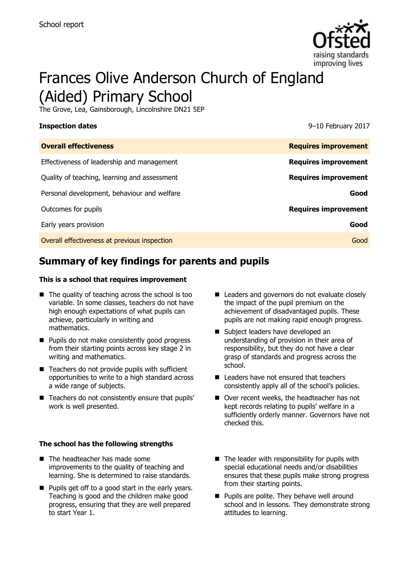

# Frances Olive Anderson Church of England (Aided) Primary School

The Grove, Lea, Gainsborough, Lincolnshire DN21 5EP

**Inspection dates** 9–10 February 2017

| <b>Overall effectiveness</b>                 | <b>Requires improvement</b> |
|----------------------------------------------|-----------------------------|
| Effectiveness of leadership and management   | <b>Requires improvement</b> |
| Quality of teaching, learning and assessment | <b>Requires improvement</b> |
| Personal development, behaviour and welfare  | Good                        |
| Outcomes for pupils                          | <b>Requires improvement</b> |
| Early years provision                        | Good                        |
| Overall effectiveness at previous inspection | Good                        |

# **Summary of key findings for parents and pupils**

### **This is a school that requires improvement**

- $\blacksquare$  The quality of teaching across the school is too variable. In some classes, teachers do not have high enough expectations of what pupils can achieve, particularly in writing and mathematics.
- **Pupils do not make consistently good progress** from their starting points across key stage 2 in writing and mathematics.
- $\blacksquare$  Teachers do not provide pupils with sufficient opportunities to write to a high standard across a wide range of subjects.
- Teachers do not consistently ensure that pupils' work is well presented.

### **The school has the following strengths**

- The headteacher has made some improvements to the quality of teaching and learning. She is determined to raise standards.
- **Pupils get off to a good start in the early years.** Teaching is good and the children make good progress, ensuring that they are well prepared to start Year 1.
- Leaders and governors do not evaluate closely the impact of the pupil premium on the achievement of disadvantaged pupils. These pupils are not making rapid enough progress.
- Subject leaders have developed an understanding of provision in their area of responsibility, but they do not have a clear grasp of standards and progress across the school.
- Leaders have not ensured that teachers consistently apply all of the school's policies.
- Over recent weeks, the headteacher has not kept records relating to pupils' welfare in a sufficiently orderly manner. Governors have not checked this.
- $\blacksquare$  The leader with responsibility for pupils with special educational needs and/or disabilities ensures that these pupils make strong progress from their starting points.
- **Pupils are polite. They behave well around** school and in lessons. They demonstrate strong attitudes to learning.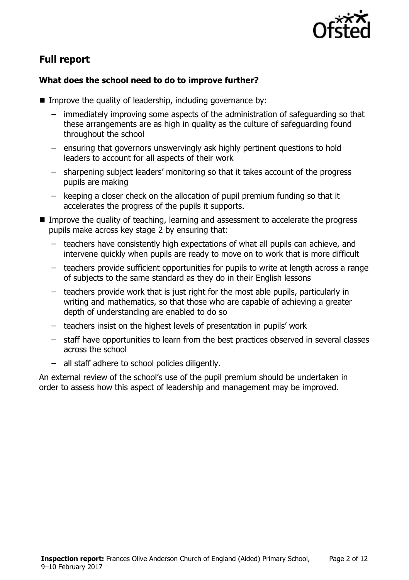

# **Full report**

### **What does the school need to do to improve further?**

- Improve the quality of leadership, including governance by:
	- immediately improving some aspects of the administration of safeguarding so that these arrangements are as high in quality as the culture of safeguarding found throughout the school
	- ensuring that governors unswervingly ask highly pertinent questions to hold leaders to account for all aspects of their work
	- sharpening subject leaders' monitoring so that it takes account of the progress pupils are making
	- keeping a closer check on the allocation of pupil premium funding so that it accelerates the progress of the pupils it supports.
- Improve the quality of teaching, learning and assessment to accelerate the progress pupils make across key stage 2 by ensuring that:
	- teachers have consistently high expectations of what all pupils can achieve, and intervene quickly when pupils are ready to move on to work that is more difficult
	- teachers provide sufficient opportunities for pupils to write at length across a range of subjects to the same standard as they do in their English lessons
	- teachers provide work that is just right for the most able pupils, particularly in writing and mathematics, so that those who are capable of achieving a greater depth of understanding are enabled to do so
	- teachers insist on the highest levels of presentation in pupils' work
	- staff have opportunities to learn from the best practices observed in several classes across the school
	- all staff adhere to school policies diligently.

An external review of the school's use of the pupil premium should be undertaken in order to assess how this aspect of leadership and management may be improved.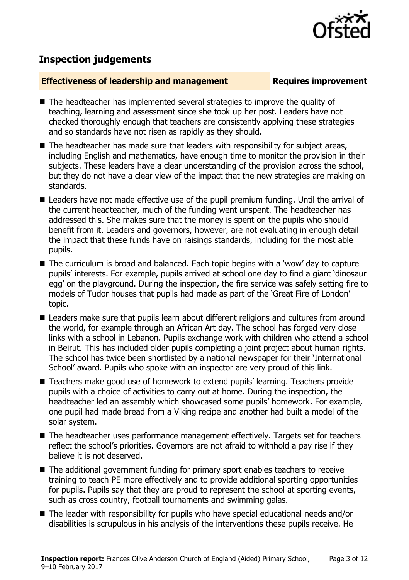

# **Inspection judgements**

### **Effectiveness of leadership and management Requires improvement**

- The headteacher has implemented several strategies to improve the quality of teaching, learning and assessment since she took up her post. Leaders have not checked thoroughly enough that teachers are consistently applying these strategies and so standards have not risen as rapidly as they should.
- The headteacher has made sure that leaders with responsibility for subject areas, including English and mathematics, have enough time to monitor the provision in their subjects. These leaders have a clear understanding of the provision across the school, but they do not have a clear view of the impact that the new strategies are making on standards.
- Leaders have not made effective use of the pupil premium funding. Until the arrival of the current headteacher, much of the funding went unspent. The headteacher has addressed this. She makes sure that the money is spent on the pupils who should benefit from it. Leaders and governors, however, are not evaluating in enough detail the impact that these funds have on raisings standards, including for the most able pupils.
- The curriculum is broad and balanced. Each topic begins with a 'wow' day to capture pupils' interests. For example, pupils arrived at school one day to find a giant 'dinosaur egg' on the playground. During the inspection, the fire service was safely setting fire to models of Tudor houses that pupils had made as part of the 'Great Fire of London' topic.
- Leaders make sure that pupils learn about different religions and cultures from around the world, for example through an African Art day. The school has forged very close links with a school in Lebanon. Pupils exchange work with children who attend a school in Beirut. This has included older pupils completing a joint project about human rights. The school has twice been shortlisted by a national newspaper for their 'International School' award. Pupils who spoke with an inspector are very proud of this link.
- Teachers make good use of homework to extend pupils' learning. Teachers provide pupils with a choice of activities to carry out at home. During the inspection, the headteacher led an assembly which showcased some pupils' homework. For example, one pupil had made bread from a Viking recipe and another had built a model of the solar system.
- The headteacher uses performance management effectively. Targets set for teachers reflect the school's priorities. Governors are not afraid to withhold a pay rise if they believe it is not deserved.
- The additional government funding for primary sport enables teachers to receive training to teach PE more effectively and to provide additional sporting opportunities for pupils. Pupils say that they are proud to represent the school at sporting events, such as cross country, football tournaments and swimming galas.
- The leader with responsibility for pupils who have special educational needs and/or disabilities is scrupulous in his analysis of the interventions these pupils receive. He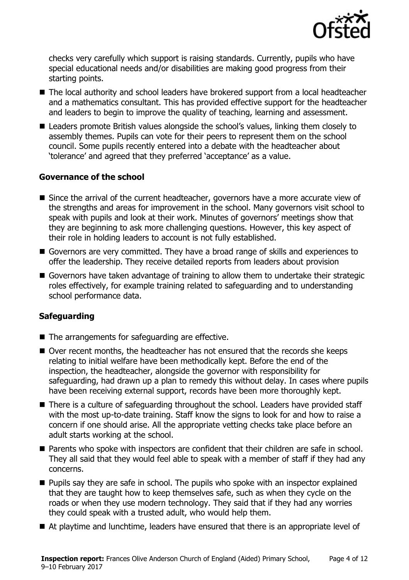

checks very carefully which support is raising standards. Currently, pupils who have special educational needs and/or disabilities are making good progress from their starting points.

- The local authority and school leaders have brokered support from a local headteacher and a mathematics consultant. This has provided effective support for the headteacher and leaders to begin to improve the quality of teaching, learning and assessment.
- Leaders promote British values alongside the school's values, linking them closely to assembly themes. Pupils can vote for their peers to represent them on the school council. Some pupils recently entered into a debate with the headteacher about 'tolerance' and agreed that they preferred 'acceptance' as a value.

### **Governance of the school**

- Since the arrival of the current headteacher, governors have a more accurate view of the strengths and areas for improvement in the school. Many governors visit school to speak with pupils and look at their work. Minutes of governors' meetings show that they are beginning to ask more challenging questions. However, this key aspect of their role in holding leaders to account is not fully established.
- Governors are very committed. They have a broad range of skills and experiences to offer the leadership. They receive detailed reports from leaders about provision
- Governors have taken advantage of training to allow them to undertake their strategic roles effectively, for example training related to safeguarding and to understanding school performance data.

### **Safeguarding**

- $\blacksquare$  The arrangements for safeguarding are effective.
- Over recent months, the headteacher has not ensured that the records she keeps relating to initial welfare have been methodically kept. Before the end of the inspection, the headteacher, alongside the governor with responsibility for safeguarding, had drawn up a plan to remedy this without delay. In cases where pupils have been receiving external support, records have been more thoroughly kept.
- There is a culture of safeguarding throughout the school. Leaders have provided staff with the most up-to-date training. Staff know the signs to look for and how to raise a concern if one should arise. All the appropriate vetting checks take place before an adult starts working at the school.
- Parents who spoke with inspectors are confident that their children are safe in school. They all said that they would feel able to speak with a member of staff if they had any concerns.
- **Pupils say they are safe in school. The pupils who spoke with an inspector explained** that they are taught how to keep themselves safe, such as when they cycle on the roads or when they use modern technology. They said that if they had any worries they could speak with a trusted adult, who would help them.
- At playtime and lunchtime, leaders have ensured that there is an appropriate level of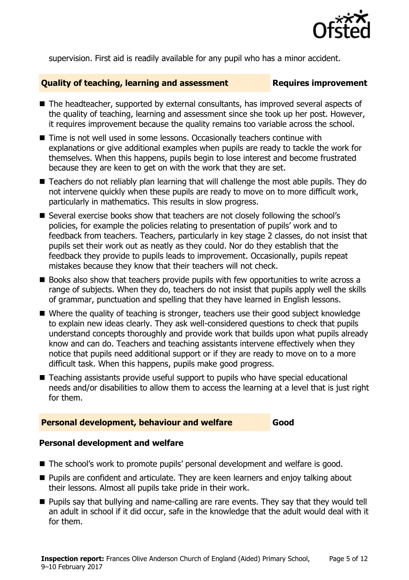

supervision. First aid is readily available for any pupil who has a minor accident.

### **Quality of teaching, learning and assessment Requires improvement**

- The headteacher, supported by external consultants, has improved several aspects of the quality of teaching, learning and assessment since she took up her post. However, it requires improvement because the quality remains too variable across the school.
- Time is not well used in some lessons. Occasionally teachers continue with explanations or give additional examples when pupils are ready to tackle the work for themselves. When this happens, pupils begin to lose interest and become frustrated because they are keen to get on with the work that they are set.
- Teachers do not reliably plan learning that will challenge the most able pupils. They do not intervene quickly when these pupils are ready to move on to more difficult work, particularly in mathematics. This results in slow progress.
- Several exercise books show that teachers are not closely following the school's policies, for example the policies relating to presentation of pupils' work and to feedback from teachers. Teachers, particularly in key stage 2 classes, do not insist that pupils set their work out as neatly as they could. Nor do they establish that the feedback they provide to pupils leads to improvement. Occasionally, pupils repeat mistakes because they know that their teachers will not check.
- Books also show that teachers provide pupils with few opportunities to write across a range of subjects. When they do, teachers do not insist that pupils apply well the skills of grammar, punctuation and spelling that they have learned in English lessons.
- Where the quality of teaching is stronger, teachers use their good subject knowledge to explain new ideas clearly. They ask well-considered questions to check that pupils understand concepts thoroughly and provide work that builds upon what pupils already know and can do. Teachers and teaching assistants intervene effectively when they notice that pupils need additional support or if they are ready to move on to a more difficult task. When this happens, pupils make good progress.
- Teaching assistants provide useful support to pupils who have special educational needs and/or disabilities to allow them to access the learning at a level that is just right for them.

### **Personal development, behaviour and welfare Good**

### **Personal development and welfare**

- The school's work to promote pupils' personal development and welfare is good.
- **Pupils are confident and articulate. They are keen learners and enjoy talking about** their lessons. Almost all pupils take pride in their work.
- **Pupils say that bullying and name-calling are rare events. They say that they would tell** an adult in school if it did occur, safe in the knowledge that the adult would deal with it for them.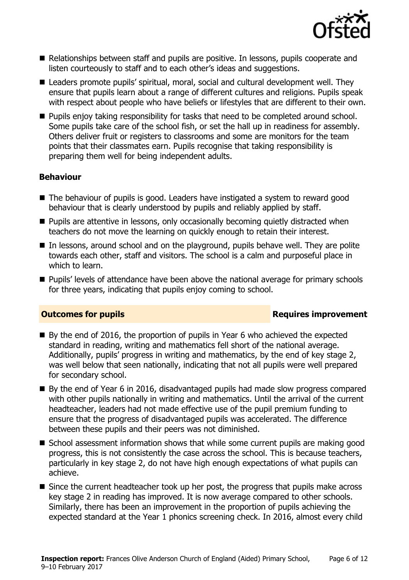

- Relationships between staff and pupils are positive. In lessons, pupils cooperate and listen courteously to staff and to each other's ideas and suggestions.
- Leaders promote pupils' spiritual, moral, social and cultural development well. They ensure that pupils learn about a range of different cultures and religions. Pupils speak with respect about people who have beliefs or lifestyles that are different to their own.
- **Pupils enjoy taking responsibility for tasks that need to be completed around school.** Some pupils take care of the school fish, or set the hall up in readiness for assembly. Others deliver fruit or registers to classrooms and some are monitors for the team points that their classmates earn. Pupils recognise that taking responsibility is preparing them well for being independent adults.

### **Behaviour**

- The behaviour of pupils is good. Leaders have instigated a system to reward good behaviour that is clearly understood by pupils and reliably applied by staff.
- **Pupils are attentive in lessons, only occasionally becoming quietly distracted when** teachers do not move the learning on quickly enough to retain their interest.
- In lessons, around school and on the playground, pupils behave well. They are polite towards each other, staff and visitors. The school is a calm and purposeful place in which to learn.
- **Pupils' levels of attendance have been above the national average for primary schools** for three years, indicating that pupils enjoy coming to school.

### **Outcomes for pupils Requires improvement**

- By the end of 2016, the proportion of pupils in Year 6 who achieved the expected standard in reading, writing and mathematics fell short of the national average. Additionally, pupils' progress in writing and mathematics, by the end of key stage 2, was well below that seen nationally, indicating that not all pupils were well prepared for secondary school.
- By the end of Year 6 in 2016, disadvantaged pupils had made slow progress compared with other pupils nationally in writing and mathematics. Until the arrival of the current headteacher, leaders had not made effective use of the pupil premium funding to ensure that the progress of disadvantaged pupils was accelerated. The difference between these pupils and their peers was not diminished.
- School assessment information shows that while some current pupils are making good progress, this is not consistently the case across the school. This is because teachers, particularly in key stage 2, do not have high enough expectations of what pupils can achieve.
- Since the current headteacher took up her post, the progress that pupils make across key stage 2 in reading has improved. It is now average compared to other schools. Similarly, there has been an improvement in the proportion of pupils achieving the expected standard at the Year 1 phonics screening check. In 2016, almost every child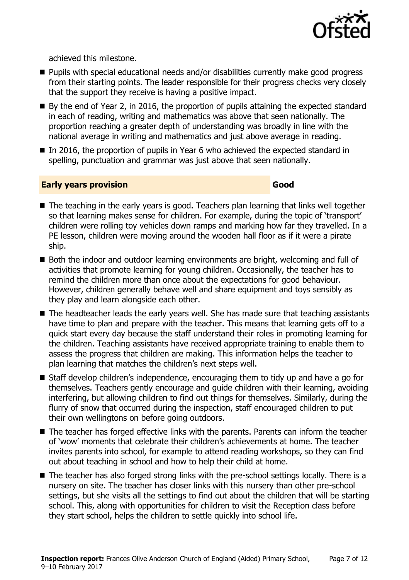

achieved this milestone.

- Pupils with special educational needs and/or disabilities currently make good progress from their starting points. The leader responsible for their progress checks very closely that the support they receive is having a positive impact.
- By the end of Year 2, in 2016, the proportion of pupils attaining the expected standard in each of reading, writing and mathematics was above that seen nationally. The proportion reaching a greater depth of understanding was broadly in line with the national average in writing and mathematics and just above average in reading.
- In 2016, the proportion of pupils in Year 6 who achieved the expected standard in spelling, punctuation and grammar was just above that seen nationally.

### **Early years provision Good**

- The teaching in the early years is good. Teachers plan learning that links well together so that learning makes sense for children. For example, during the topic of 'transport' children were rolling toy vehicles down ramps and marking how far they travelled. In a PE lesson, children were moving around the wooden hall floor as if it were a pirate ship.
- Both the indoor and outdoor learning environments are bright, welcoming and full of activities that promote learning for young children. Occasionally, the teacher has to remind the children more than once about the expectations for good behaviour. However, children generally behave well and share equipment and toys sensibly as they play and learn alongside each other.
- The headteacher leads the early years well. She has made sure that teaching assistants have time to plan and prepare with the teacher. This means that learning gets off to a quick start every day because the staff understand their roles in promoting learning for the children. Teaching assistants have received appropriate training to enable them to assess the progress that children are making. This information helps the teacher to plan learning that matches the children's next steps well.
- Staff develop children's independence, encouraging them to tidy up and have a go for themselves. Teachers gently encourage and guide children with their learning, avoiding interfering, but allowing children to find out things for themselves. Similarly, during the flurry of snow that occurred during the inspection, staff encouraged children to put their own wellingtons on before going outdoors.
- The teacher has forged effective links with the parents. Parents can inform the teacher of 'wow' moments that celebrate their children's achievements at home. The teacher invites parents into school, for example to attend reading workshops, so they can find out about teaching in school and how to help their child at home.
- The teacher has also forged strong links with the pre-school settings locally. There is a nursery on site. The teacher has closer links with this nursery than other pre-school settings, but she visits all the settings to find out about the children that will be starting school. This, along with opportunities for children to visit the Reception class before they start school, helps the children to settle quickly into school life.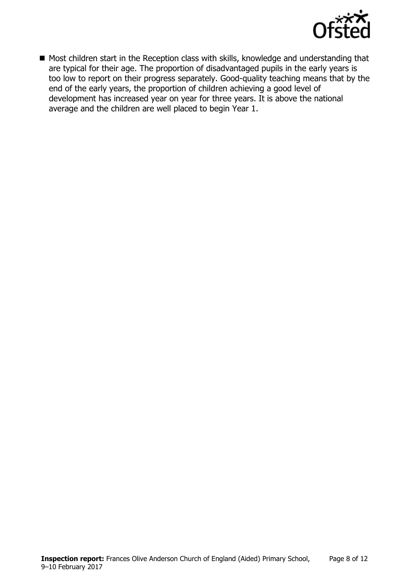

Most children start in the Reception class with skills, knowledge and understanding that are typical for their age. The proportion of disadvantaged pupils in the early years is too low to report on their progress separately. Good-quality teaching means that by the end of the early years, the proportion of children achieving a good level of development has increased year on year for three years. It is above the national average and the children are well placed to begin Year 1.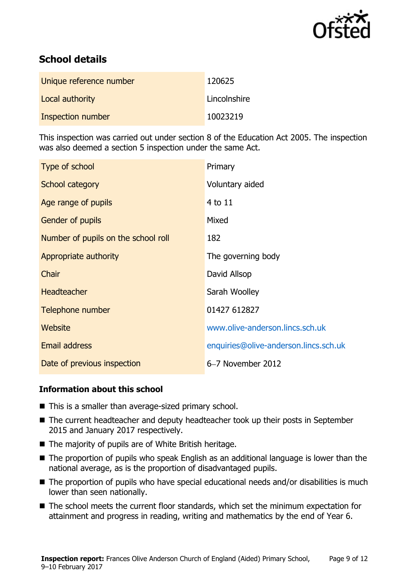

# **School details**

| Unique reference number | 120625       |
|-------------------------|--------------|
| Local authority         | Lincolnshire |
| Inspection number       | 10023219     |

This inspection was carried out under section 8 of the Education Act 2005. The inspection was also deemed a section 5 inspection under the same Act.

| Type of school                      | Primary                               |
|-------------------------------------|---------------------------------------|
| School category                     | Voluntary aided                       |
| Age range of pupils                 | 4 to 11                               |
| <b>Gender of pupils</b>             | Mixed                                 |
| Number of pupils on the school roll | 182                                   |
| Appropriate authority               | The governing body                    |
| Chair                               | David Allsop                          |
| <b>Headteacher</b>                  | Sarah Woolley                         |
| Telephone number                    | 01427 612827                          |
| Website                             | www.olive-anderson.lincs.sch.uk       |
| <b>Email address</b>                | enquiries@olive-anderson.lincs.sch.uk |
| Date of previous inspection         | 6-7 November 2012                     |

### **Information about this school**

- This is a smaller than average-sized primary school.
- The current headteacher and deputy headteacher took up their posts in September 2015 and January 2017 respectively.
- The majority of pupils are of White British heritage.
- The proportion of pupils who speak English as an additional language is lower than the national average, as is the proportion of disadvantaged pupils.
- The proportion of pupils who have special educational needs and/or disabilities is much lower than seen nationally.
- The school meets the current floor standards, which set the minimum expectation for attainment and progress in reading, writing and mathematics by the end of Year 6.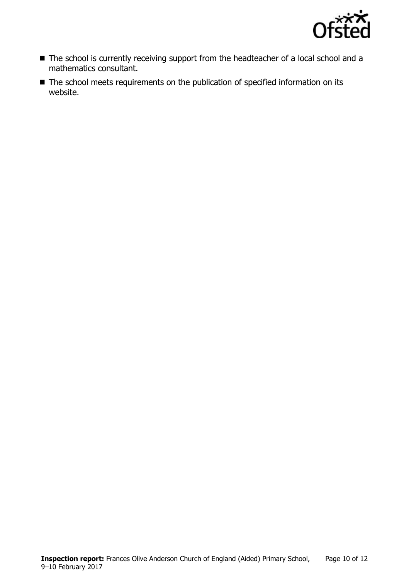

- The school is currently receiving support from the headteacher of a local school and a mathematics consultant.
- The school meets requirements on the publication of specified information on its website.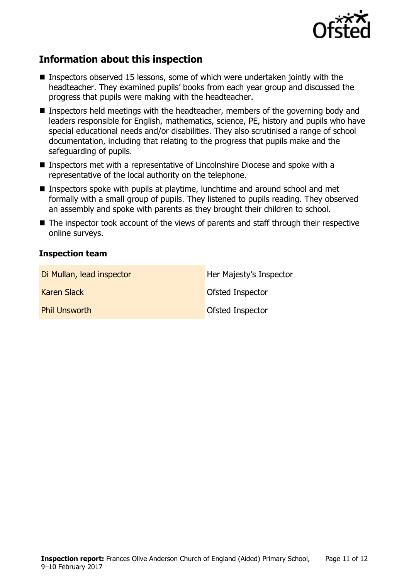

# **Information about this inspection**

- Inspectors observed 15 lessons, some of which were undertaken jointly with the headteacher. They examined pupils' books from each year group and discussed the progress that pupils were making with the headteacher.
- Inspectors held meetings with the headteacher, members of the governing body and leaders responsible for English, mathematics, science, PE, history and pupils who have special educational needs and/or disabilities. They also scrutinised a range of school documentation, including that relating to the progress that pupils make and the safeguarding of pupils.
- Inspectors met with a representative of Lincolnshire Diocese and spoke with a representative of the local authority on the telephone.
- **Inspectors spoke with pupils at playtime, lunchtime and around school and met** formally with a small group of pupils. They listened to pupils reading. They observed an assembly and spoke with parents as they brought their children to school.
- The inspector took account of the views of parents and staff through their respective online surveys.

### **Inspection team**

| Di Mullan, lead inspector | Her Majesty's Inspector |
|---------------------------|-------------------------|
| Karen Slack               | Ofsted Inspector        |
| <b>Phil Unsworth</b>      | <b>Ofsted Inspector</b> |